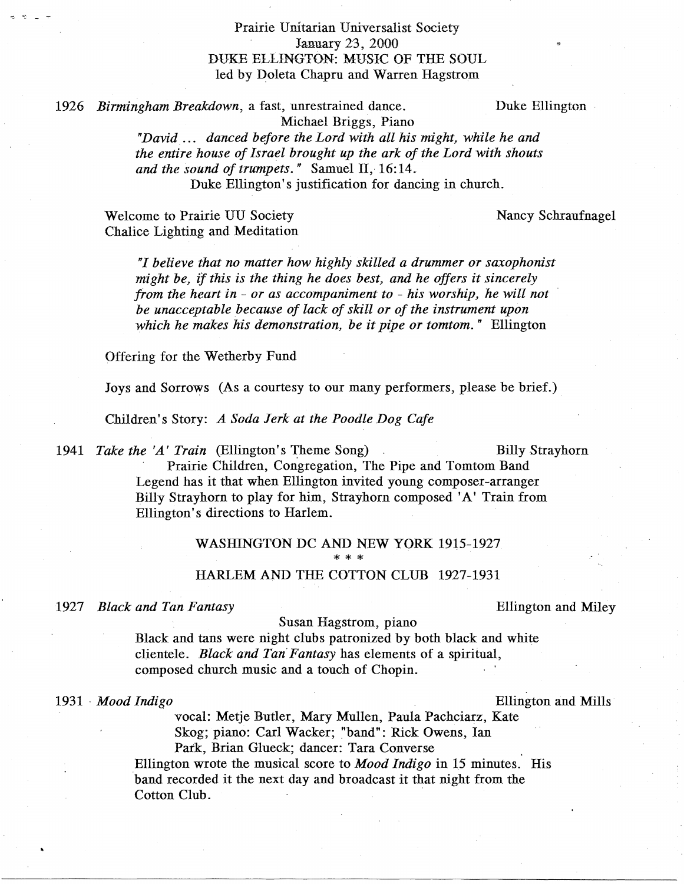# Prairie Unitarian Universalist Society January 23, 2000 DUKE ELLINGTON: MUSIC OF THE SOUL led by Doleta Chapru and Warren Hagstrom

*1926 Birmingham Breakdown,* a fast, unrestrained dance. Duke Ellington

Nancy Schraufnagel

..

Michael Briggs, Piano

*"David.* . . . *danced before the Lord with all his might, while he and the entire house of Israel brought up the ark of the Lord with shouts and the sound of trumpets."* Samuel II, 16:14. Duke Ellington's justification for dancing in church.

Welcome to Prairie UU Society Chalice Lighting and Meditation

> *"I believe that no matter how highly skilled a drummer or saxophonist might be, if this is the thing he does best, and he offers it sincerely from the heart in* - *or as accompaniment to* - *his worship, he will not be unacceptable because of lack of skill or of the instrument upon which he makes his demonstration, be it pipe or tomtom."* Ellington

Offering for the Wetherby Fund

Joys and Sorrows (As a courtesy to our many performers, please be brief.).

Children's Story: *A Soda Jerk at the Poodle Dog Cafe* 

1941 *Take the 'A' Train* (Ellington's Theme Song) Billy Strayhorn

Prairie Children, Congregation, The Pipe and Tomtom Band Legend has it that when Ellington invited young composer-arranger Billy Strayhorn to play for him, Strayhorn composed 'A' Train from Ellington's directions to Harlem.

# WASHINGTON DC AND NEW YORK 1915-1927 \*\*\* HARLEM AND THE COTTON CLUB 1927-1931

*1927 Black and Tan Fantasy* Ellington and Miley

### Susan Hagstrom, piano

Black and tans were night clubs patronized by both black and white clientele. *Black and Tan Fantasy* has elements of a spiritual, composed church music and a touch of Chopin.

1931 " *Mood Indigo* Ellington and Mills

vocal: Metje Butler, Mary Mullen, Paula Pachciarz, Kate Skog; piano: Carl Wacker; "band": Rick Owens, Ian Park, Brian Glueck; dancer: Tara Converse

Ellington wrote the musical score to *Mood Indigo* in 15 minutes. His band recorded it the next day and broadcast it that night from the Cotton Club.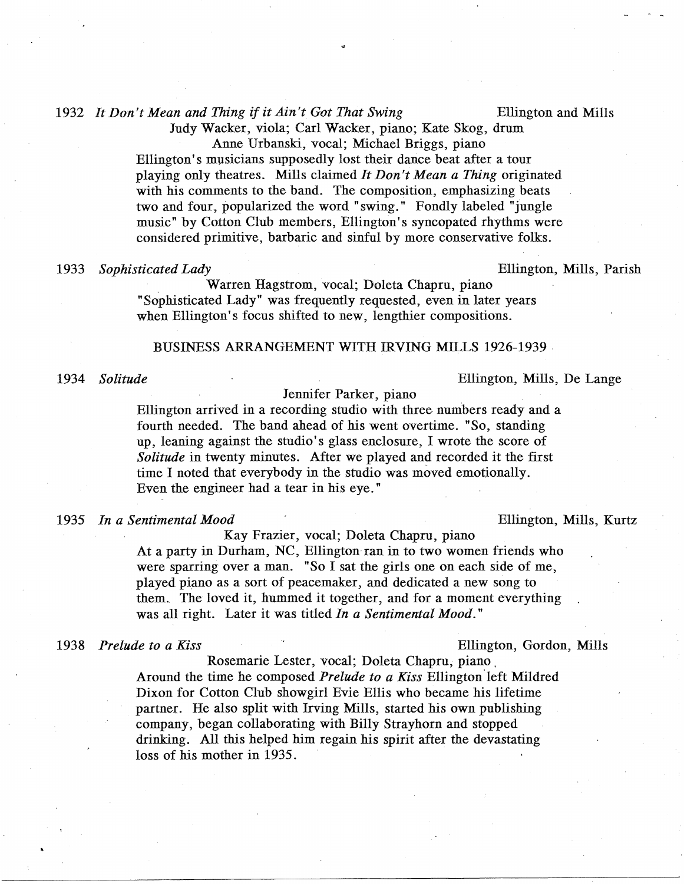## *1932 It Don't Mean and Thing* if *it Ain't Got That Swing* Ellington and Mills

Judy Wacker, viola; Carl Wacker, piano; Kate Skog, drum Anne Urbanski, vocal; Michael Briggs, piano

..

Ellington's musicians supposedly lost their dance beat after a tour playing only theatres. Mills claimed *It Don't Mean a Thing* originated with his comments to the band. The composition, emphasizing beats two and four, popularized the word "swing." Fondly labeled "jungle music" by Cotton Club members, Ellington's syncopated rhythms were considered primitive, barbaric and sinful by more conservative folks.

### *1933 Sophisticated Lady* Ellington, Mills, Parish

Warren Hagstrom, vocal; Doleta Chapru, piano "Sophisticated Lady" was frequently requested, even in later years when Ellington's focus shifted to new, lengthier compositions.

### BUSINESS ARRANGEMENT WITH IRVING MILLS 1926-1939 '

*1934 Solitude* Ellington, Mills, De Lange

Jennifer Parker, piano

Ellington arrived in a recording studio with three numbers ready and a fourth needed. The band ahead of his went overtime. "So, standing up, leaning against the studio's glass enclosure, I wrote the score of *Solitude* in twenty minutes. After we played and recorded it the first time I noted that everybody in the studio was moved emotionally. Even the engineer had a tear in his eye. "

### *1935 In a Sentimental Mood* Ellington, Mills, Kurtz

Kay Frazier, vocal; Doleta Chapru, piano At a party in Durham, NC, Ellington'ran in to two women friends who were sparring over a man. "So I sat the girls one on each side of me, played piano as a sort of peacemaker, and dedicated a new song to them. The loved it, hummed it together, and for a moment everything was all right. Later it was titled *In a Sentimental Mood."* 

#### *1938 Prelude to a Kiss* Ellington, Gordon, Mills

Rosemarie Lester, vocal; Doleta Chapru, piano. Around the time he composed *Prelude to a Kiss* Ellington'left Mildred Dixon for Cotton Club showgirl Evie Ellis who became his lifetime partner. He also split with Irving Mills, started his own publishing company, began collaborating with Billy Strayhorn and stopped drinking. All this helped him regain his spirit after the devastating loss of his mother in 1935.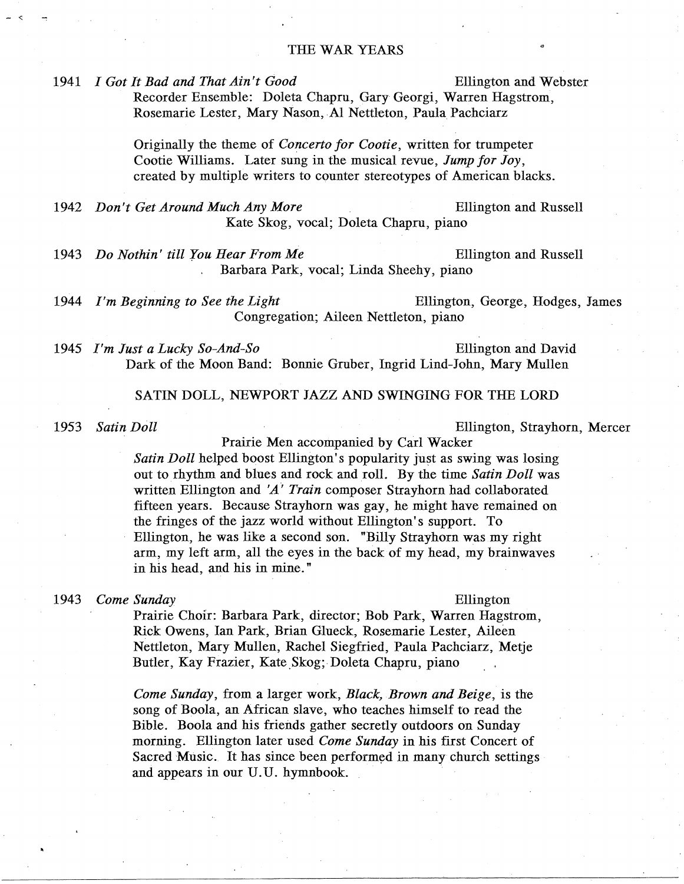### THE WAR YEARS

*1941 I Got It Bad and That Ain't Good* Ellington and Webster

Recorder Ensemble: Doleta Chapru, Gary Georgi, Warren Hagstrom,

Rosemarie Lester, Mary Nason, Al Nettleton, Paula Pachciarz

Originally the theme of *Concerto for Cootie*, written for trumpeter Cootie Williams. Later sung in the musical revue, *Jump for Joy*, created by multiple writers to counter stereotypes of American blacks.

*1942 Don't Get Around Much Any More* Ellington and Russell Kate Skog, vocal; Doleta Chapru, piano

*1943 Do Nothin' till You Hear From Me* Ellington and Russell Barbara Park, vocal; Linda Sheehy, piano

*1944 I'm Beginning to See the Light* Ellington, George, Hodges, James Congregation; Aileen Nettleton, piano

*1945 I'm Just a Lucky So-And-So* Ellington and David Dark of the Moon Band: Bonnie Gruber, Ingrid Lind-John, Mary Mullen

### SATIN DOLL, NEWPORT JAZZ AND SWINGING FOR THE LORD

*1953 Satin Doll* Ellington, Strayhorn, Mercer

Prairie Men accompanied by Carl Wacker *Satin Doll* helped boost Ellington's popularity just as swing was losing out to rhythm and blues and rock and roll. By the time *Satin Doll* was written Ellington and 'A" *Train* composer Strayhorn had collaborated fifteen years. Because Strayhorn was gay, he might have remained on the fringes of the jazz world without Ellington's support. To Ellington, he was like a second son. "Billy Strayhorn was my right arm, my left arm, all the eyes in the back of my head, my brainwaves in his head, and his in mine."

### *1943 Come Sunday* Ellington

Prairie Choir: Barbara Park, director; Bob Park, Warren Hagstrom, Rick Owens, Ian Park, Brian Glueck, Rosemarie Lester, Aileen Nettleton, Mary Mullen, Rachel Siegfried, Paula Pachciarz, Metje Butler, Kay Frazier, Kate Skog; Doleta Chapru, piano

*Come Sunday,* from a larger work, *Black, Brown and Beige,* is the song of Boola, an African slave, who teaches himself to read the Bible. Boola and his friends gather secretly outdoors on Sunday morning. Ellington later used *Come Sunday* in his first Concert of Sacred Music. It has since been performed in many church settings and appears in our U.U. hymnbook.